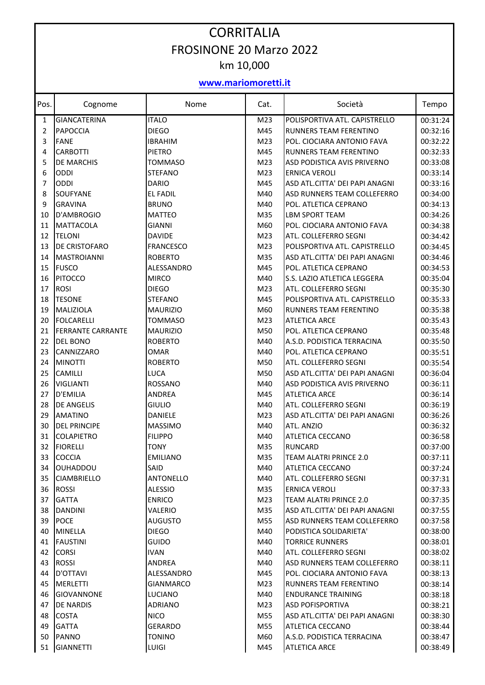## CORRITALIA FROSINONE 20 Marzo 2022 km 10,000

## **www.mariomoretti.it**

| Pos. | Cognome                  | Nome             | Cat.            | Società                        | Tempo    |
|------|--------------------------|------------------|-----------------|--------------------------------|----------|
| 1    | <b>GIANCATERINA</b>      | <b>ITALO</b>     | M <sub>23</sub> | POLISPORTIVA ATL. CAPISTRELLO  | 00:31:24 |
| 2    | <b>PAPOCCIA</b>          | <b>DIEGO</b>     | M45             | RUNNERS TEAM FERENTINO         | 00:32:16 |
| 3    | <b>FANE</b>              | <b>IBRAHIM</b>   | M23             | POL. CIOCIARA ANTONIO FAVA     | 00:32:22 |
| 4    | <b>CARBOTTI</b>          | <b>PIETRO</b>    | M45             | RUNNERS TEAM FERENTINO         | 00:32:33 |
| 5    | DE MARCHIS               | <b>TOMMASO</b>   | M23             | ASD PODISTICA AVIS PRIVERNO    | 00:33:08 |
| 6    | <b>ODDI</b>              | <b>STEFANO</b>   | M23             | <b>ERNICA VEROLI</b>           | 00:33:14 |
| 7    | <b>ODDI</b>              | <b>DARIO</b>     | M45             | ASD ATL.CITTA' DEI PAPI ANAGNI | 00:33:16 |
| 8    | SOUFYANE                 | <b>EL FADIL</b>  | M40             | ASD RUNNERS TEAM COLLEFERRO    | 00:34:00 |
| 9    | <b>GRAVINA</b>           | <b>BRUNO</b>     | M40             | POL. ATLETICA CEPRANO          | 00:34:13 |
| 10   | D'AMBROGIO               | <b>MATTEO</b>    | M35             | LBM SPORT TEAM                 | 00:34:26 |
| 11   | <b>MATTACOLA</b>         | <b>GIANNI</b>    | M60             | POL. CIOCIARA ANTONIO FAVA     | 00:34:38 |
| 12   | <b>TELONI</b>            | <b>DAVIDE</b>    | M23             | ATL. COLLEFERRO SEGNI          | 00:34:42 |
| 13   | DE CRISTOFARO            | <b>FRANCESCO</b> | M23             | POLISPORTIVA ATL. CAPISTRELLO  | 00:34:45 |
| 14   | <b>MASTROIANNI</b>       | <b>ROBERTO</b>   | M35             | ASD ATL.CITTA' DEI PAPI ANAGNI | 00:34:46 |
| 15   | <b>FUSCO</b>             | ALESSANDRO       | M45             | POL. ATLETICA CEPRANO          | 00:34:53 |
| 16   | <b>PITOCCO</b>           | <b>MIRCO</b>     | M40             | S.S. LAZIO ATLETICA LEGGERA    | 00:35:04 |
| 17   | <b>ROSI</b>              | <b>DIEGO</b>     | M23             | ATL. COLLEFERRO SEGNI          | 00:35:30 |
| 18   | <b>TESONE</b>            | <b>STEFANO</b>   | M45             | POLISPORTIVA ATL. CAPISTRELLO  | 00:35:33 |
| 19   | MALIZIOLA                | <b>MAURIZIO</b>  | M60             | RUNNERS TEAM FERENTINO         | 00:35:38 |
| 20   | <b>FOLCARELLI</b>        | <b>TOMMASO</b>   | M23             | <b>ATLETICA ARCE</b>           | 00:35:43 |
| 21   | <b>FERRANTE CARRANTE</b> | <b>MAURIZIO</b>  | M50             | POL. ATLETICA CEPRANO          | 00:35:48 |
| 22   | <b>DEL BONO</b>          | <b>ROBERTO</b>   | M40             | A.S.D. PODISTICA TERRACINA     | 00:35:50 |
| 23   | CANNIZZARO               | OMAR             | M40             | POL. ATLETICA CEPRANO          | 00:35:51 |
| 24   | <b>MINOTTI</b>           | <b>ROBERTO</b>   | M50             | ATL. COLLEFERRO SEGNI          | 00:35:54 |
| 25   | <b>CAMILLI</b>           | LUCA             | M50             | ASD ATL.CITTA' DEI PAPI ANAGNI | 00:36:04 |
| 26   | <b>VIGLIANTI</b>         | ROSSANO          | M40             | ASD PODISTICA AVIS PRIVERNO    | 00:36:11 |
| 27   | D'EMILIA                 | <b>ANDREA</b>    | M45             | <b>ATLETICA ARCE</b>           | 00:36:14 |
| 28   | <b>DE ANGELIS</b>        | GIULIO           | M40             | ATL. COLLEFERRO SEGNI          | 00:36:19 |
| 29   | <b>AMATINO</b>           | <b>DANIELE</b>   | M <sub>23</sub> | ASD ATL.CITTA' DEI PAPI ANAGNI | 00:36:26 |
| 30   | <b>DEL PRINCIPE</b>      | <b>MASSIMO</b>   | M40             | ATL. ANZIO                     | 00:36:32 |
| 31   | <b>COLAPIETRO</b>        | <b>FILIPPO</b>   | M40             | <b>ATLETICA CECCANO</b>        | 00:36:58 |
| 32   | <b>FIORELLI</b>          | <b>TONY</b>      | M35             | <b>RUNCARD</b>                 | 00:37:00 |
| 33   | <b>COCCIA</b>            | <b>EMILIANO</b>  | M35             | TEAM ALATRI PRINCE 2.0         | 00:37:11 |
| 34   | <b>OUHADDOU</b>          | SAID             | M40             | ATLETICA CECCANO               | 00:37:24 |
| 35   | <b>CIAMBRIELLO</b>       | <b>ANTONELLO</b> | M40             | ATL. COLLEFERRO SEGNI          | 00:37:31 |
| 36   | <b>ROSSI</b>             | <b>ALESSIO</b>   | M35             | <b>ERNICA VEROLI</b>           | 00:37:33 |
| 37   | <b>GATTA</b>             | <b>ENRICO</b>    | M23             | <b>TEAM ALATRI PRINCE 2.0</b>  | 00:37:35 |
| 38   | <b>DANDINI</b>           | VALERIO          | M35             | ASD ATL.CITTA' DEI PAPI ANAGNI | 00:37:55 |
| 39   | <b>POCE</b>              | <b>AUGUSTO</b>   | M55             | ASD RUNNERS TEAM COLLEFERRO    | 00:37:58 |
| 40   | <b>MINELLA</b>           | <b>DIEGO</b>     | M40             | PODISTICA SOLIDARIETA'         | 00:38:00 |
| 41   | <b>FAUSTINI</b>          | <b>GUIDO</b>     | M40             | <b>TORRICE RUNNERS</b>         | 00:38:01 |
| 42   | <b>CORSI</b>             | <b>IVAN</b>      | M40             | ATL. COLLEFERRO SEGNI          | 00:38:02 |
| 43   | <b>ROSSI</b>             | ANDREA           | M40             | ASD RUNNERS TEAM COLLEFERRO    | 00:38:11 |
| 44   | D'OTTAVI                 | ALESSANDRO       | M45             | POL. CIOCIARA ANTONIO FAVA     | 00:38:13 |
| 45   | <b>MERLETTI</b>          | GIANMARCO        | M23             | RUNNERS TEAM FERENTINO         | 00:38:14 |
| 46   | <b>GIOVANNONE</b>        | <b>LUCIANO</b>   | M40             | <b>ENDURANCE TRAINING</b>      | 00:38:18 |
| 47   | <b>DE NARDIS</b>         | <b>ADRIANO</b>   | M23             | <b>ASD POFISPORTIVA</b>        | 00:38:21 |
| 48   | <b>COSTA</b>             | <b>NICO</b>      | M55             | ASD ATL.CITTA' DEI PAPI ANAGNI | 00:38:30 |
| 49   | <b>GATTA</b>             | <b>GERARDO</b>   | M55             | ATLETICA CECCANO               | 00:38:44 |
| 50   | PANNO                    | <b>TONINO</b>    | M60             | A.S.D. PODISTICA TERRACINA     | 00:38:47 |
| 51   | <b>GIANNETTI</b>         | LUIGI            | M45             | <b>ATLETICA ARCE</b>           | 00:38:49 |
|      |                          |                  |                 |                                |          |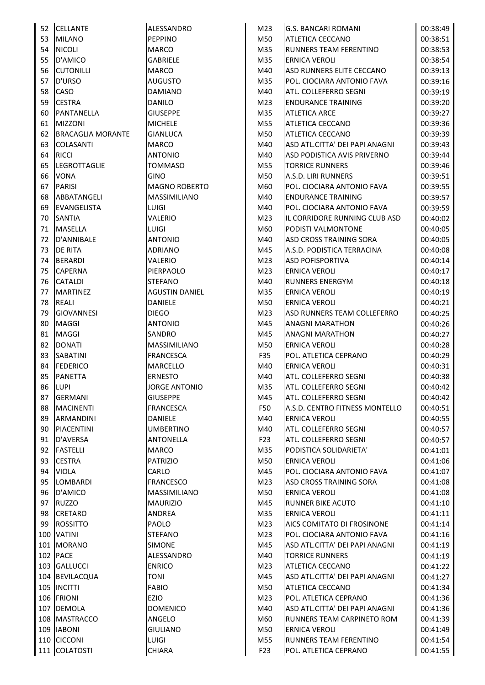|    | 52 CELLANTE              | ALESSANDRO            | M23             | <b>G.S. BANCARI ROMANI</b>     | 00:38:49 |
|----|--------------------------|-----------------------|-----------------|--------------------------------|----------|
| 53 | <b>MILANO</b>            | <b>PEPPINO</b>        | M50             | ATLETICA CECCANO               | 00:38:51 |
| 54 | <b>NICOLI</b>            | <b>MARCO</b>          | M35             | RUNNERS TEAM FERENTINO         | 00:38:53 |
| 55 | D'AMICO                  | <b>GABRIELE</b>       | M35             | <b>ERNICA VEROLI</b>           | 00:38:54 |
| 56 | <b>CUTONILLI</b>         | <b>MARCO</b>          | M40             | ASD RUNNERS ELITE CECCANO      | 00:39:13 |
| 57 | <b>D'URSO</b>            | <b>AUGUSTO</b>        | M35             | POL. CIOCIARA ANTONIO FAVA     | 00:39:16 |
| 58 | <b>CASO</b>              | <b>DAMIANO</b>        | M40             | ATL. COLLEFERRO SEGNI          | 00:39:19 |
| 59 | <b>CESTRA</b>            | <b>DANILO</b>         | M23             | <b>ENDURANCE TRAINING</b>      | 00:39:20 |
| 60 | PANTANELLA               | <b>GIUSEPPE</b>       | M35             | <b>ATLETICA ARCE</b>           | 00:39:27 |
| 61 | <b>MIZZONI</b>           | <b>MICHELE</b>        | M55             | ATLETICA CECCANO               | 00:39:36 |
| 62 | <b>BRACAGLIA MORANTE</b> | <b>GIANLUCA</b>       | M50             | ATLETICA CECCANO               | 00:39:39 |
| 63 | <b>COLASANTI</b>         | <b>MARCO</b>          | M40             | ASD ATL.CITTA' DEI PAPI ANAGNI | 00:39:43 |
| 64 | <b>RICCI</b>             | <b>ANTONIO</b>        | M40             | ASD PODISTICA AVIS PRIVERNO    | 00:39:44 |
| 65 | <b>LEGROTTAGLIE</b>      | TOMMASO               | M55             | <b>TORRICE RUNNERS</b>         | 00:39:46 |
| 66 | <b>VONA</b>              | GINO                  | M50             | A.S.D. LIRI RUNNERS            | 00:39:51 |
| 67 | <b>PARISI</b>            | <b>MAGNO ROBERTO</b>  | M60             | POL. CIOCIARA ANTONIO FAVA     | 00:39:55 |
| 68 | ABBATANGELI              | <b>MASSIMILIANO</b>   | M40             | <b>ENDURANCE TRAINING</b>      | 00:39:57 |
| 69 | EVANGELISTA              | <b>LUIGI</b>          | M40             | POL. CIOCIARA ANTONIO FAVA     | 00:39:59 |
| 70 | <b>SANTIA</b>            | VALERIO               | M23             | IL CORRIDORE RUNNING CLUB ASD  | 00:40:02 |
| 71 | <b>MASELLA</b>           | <b>LUIGI</b>          | M60             | PODISTI VALMONTONE             | 00:40:05 |
| 72 | D'ANNIBALE               | <b>ANTONIO</b>        | M40             | ASD CROSS TRAINING SORA        | 00:40:05 |
| 73 | <b>DE RITA</b>           | <b>ADRIANO</b>        | M45             | A.S.D. PODISTICA TERRACINA     | 00:40:08 |
| 74 | <b>BERARDI</b>           | VALERIO               | M23             | <b>ASD POFISPORTIVA</b>        | 00:40:14 |
| 75 | <b>CAPERNA</b>           | PIERPAOLO             | M <sub>23</sub> | <b>ERNICA VEROLI</b>           | 00:40:17 |
| 76 | <b>CATALDI</b>           | <b>STEFANO</b>        | M40             | <b>RUNNERS ENERGYM</b>         | 00:40:18 |
| 77 | <b>MARTINEZ</b>          | <b>AGUSTIN DANIEL</b> | M35             | <b>ERNICA VEROLI</b>           | 00:40:19 |
| 78 | <b>REALI</b>             | <b>DANIELE</b>        | M50             | <b>ERNICA VEROLI</b>           | 00:40:21 |
| 79 | <b>GIOVANNESI</b>        | <b>DIEGO</b>          | M <sub>23</sub> | ASD RUNNERS TEAM COLLEFERRO    | 00:40:25 |
| 80 | <b>MAGGI</b>             | <b>ANTONIO</b>        | M45             | <b>ANAGNI MARATHON</b>         | 00:40:26 |
| 81 | <b>MAGGI</b>             | <b>SANDRO</b>         | M45             | <b>ANAGNI MARATHON</b>         | 00:40:27 |
| 82 | <b>DONATI</b>            | <b>MASSIMILIANO</b>   | M50             | <b>ERNICA VEROLI</b>           | 00:40:28 |
| 83 | SABATINI                 | <b>FRANCESCA</b>      | F35             | POL. ATLETICA CEPRANO          | 00:40:29 |
| 84 | <b>FEDERICO</b>          | <b>MARCELLO</b>       | M40             | ERNICA VEROLI                  | 00:40:31 |
| 85 | <b>PANETTA</b>           | <b>ERNESTO</b>        | M40             | ATL. COLLEFERRO SEGNI          | 00:40:38 |
|    | 86 LUPI                  | <b>JORGE ANTONIO</b>  | M35             | ATL. COLLEFERRO SEGNI          | 00:40:42 |
| 87 | <b>GERMANI</b>           | <b>GIUSEPPE</b>       | M45             | ATL. COLLEFERRO SEGNI          | 00:40:42 |
| 88 | <b>MACINENTI</b>         | <b>FRANCESCA</b>      | F50             | A.S.D. CENTRO FITNESS MONTELLO | 00:40:51 |
| 89 | <b>ARMANDINI</b>         | <b>DANIELE</b>        | M40             | <b>ERNICA VEROLI</b>           | 00:40:55 |
| 90 | <b>PIACENTINI</b>        | <b>UMBERTINO</b>      | M40             | ATL. COLLEFERRO SEGNI          | 00:40:57 |
| 91 | D'AVERSA                 | ANTONELLA             | F <sub>23</sub> | ATL. COLLEFERRO SEGNI          | 00:40:57 |
| 92 | <b>FASTELLI</b>          | <b>MARCO</b>          | M35             | PODISTICA SOLIDARIETA'         | 00:41:01 |
| 93 | <b>CESTRA</b>            | <b>PATRIZIO</b>       | M50             | <b>ERNICA VEROLI</b>           | 00:41:06 |
| 94 | <b>VIOLA</b>             | CARLO                 | M45             | POL. CIOCIARA ANTONIO FAVA     | 00:41:07 |
| 95 | <b>LOMBARDI</b>          | <b>FRANCESCO</b>      | M <sub>23</sub> | ASD CROSS TRAINING SORA        | 00:41:08 |
| 96 | D'AMICO                  | MASSIMILIANO          | M50             | <b>ERNICA VEROLI</b>           | 00:41:08 |
| 97 | <b>RUZZO</b>             | <b>MAURIZIO</b>       | M45             | <b>RUNNER BIKE ACUTO</b>       | 00:41:10 |
| 98 | <b>CRETARO</b>           | ANDREA                | M35             | <b>ERNICA VEROLI</b>           | 00:41:11 |
| 99 | <b>ROSSITTO</b>          | PAOLO                 | M23             | AICS COMITATO DI FROSINONE     | 00:41:14 |
|    | 100 VATINI               | <b>STEFANO</b>        | M23             | POL. CIOCIARA ANTONIO FAVA     | 00:41:16 |
|    | 101 MORANO               | <b>SIMONE</b>         | M45             | ASD ATL.CITTA' DEI PAPI ANAGNI | 00:41:19 |
|    | 102 PACE                 | ALESSANDRO            | M40             | <b>TORRICE RUNNERS</b>         | 00:41:19 |
|    | 103 GALLUCCI             | <b>ENRICO</b>         | M23             | ATLETICA CECCANO               | 00:41:22 |
|    | 104 BEVILACQUA           | TONI                  | M45             | ASD ATL.CITTA' DEI PAPI ANAGNI | 00:41:27 |
|    | 105 INCITTI              | <b>FABIO</b>          | M50             | ATLETICA CECCANO               | 00:41:34 |
|    | 106 FRIONI               | EZIO                  | M23             | POL. ATLETICA CEPRANO          | 00:41:36 |
|    | 107 DEMOLA               | <b>DOMENICO</b>       | M40             | ASD ATL.CITTA' DEI PAPI ANAGNI | 00:41:36 |
|    | 108 MASTRACCO            | ANGELO                | M60             | RUNNERS TEAM CARPINETO ROM     | 00:41:39 |
|    | 109 IABONI               | <b>GIULIANO</b>       | M50             | <b>ERNICA VEROLI</b>           | 00:41:49 |
|    | 110 CICCONI              | <b>LUIGI</b>          | M55             | RUNNERS TEAM FERENTINO         | 00:41:54 |
|    | 111 COLATOSTI            | <b>CHIARA</b>         | F <sub>23</sub> | POL. ATLETICA CEPRANO          | 00:41:55 |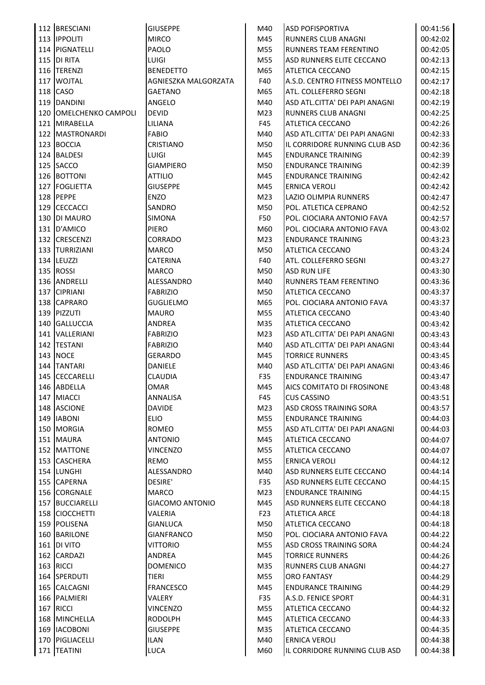| <b>GIUSEPPE</b>                                                                                                                                                                                                                                                                                                                                                                                                                                                                                                                                                                                                                                                                                                                                                                                                                                                                                                                                                                                | M40                     | <b>ASD POFISPORTIVA</b>        | 00:41:56                                 |
|------------------------------------------------------------------------------------------------------------------------------------------------------------------------------------------------------------------------------------------------------------------------------------------------------------------------------------------------------------------------------------------------------------------------------------------------------------------------------------------------------------------------------------------------------------------------------------------------------------------------------------------------------------------------------------------------------------------------------------------------------------------------------------------------------------------------------------------------------------------------------------------------------------------------------------------------------------------------------------------------|-------------------------|--------------------------------|------------------------------------------|
| <b>MIRCO</b>                                                                                                                                                                                                                                                                                                                                                                                                                                                                                                                                                                                                                                                                                                                                                                                                                                                                                                                                                                                   | M45                     | <b>RUNNERS CLUB ANAGNI</b>     | 00:42:02                                 |
| PAOLO                                                                                                                                                                                                                                                                                                                                                                                                                                                                                                                                                                                                                                                                                                                                                                                                                                                                                                                                                                                          | M55                     | RUNNERS TEAM FERENTINO         | 00:42:05                                 |
| <b>LUIGI</b>                                                                                                                                                                                                                                                                                                                                                                                                                                                                                                                                                                                                                                                                                                                                                                                                                                                                                                                                                                                   | M55                     | ASD RUNNERS ELITE CECCANO      | 00:42:13                                 |
| <b>BENEDETTO</b>                                                                                                                                                                                                                                                                                                                                                                                                                                                                                                                                                                                                                                                                                                                                                                                                                                                                                                                                                                               | M65                     | ATLETICA CECCANO               | 00:42:15                                 |
| AGNIESZKA MALGORZATA                                                                                                                                                                                                                                                                                                                                                                                                                                                                                                                                                                                                                                                                                                                                                                                                                                                                                                                                                                           | F40                     | A.S.D. CENTRO FITNESS MONTELLO | 00:42:17                                 |
| <b>GAETANO</b>                                                                                                                                                                                                                                                                                                                                                                                                                                                                                                                                                                                                                                                                                                                                                                                                                                                                                                                                                                                 | M65                     | ATL. COLLEFERRO SEGNI          | 00:42:18                                 |
| ANGELO                                                                                                                                                                                                                                                                                                                                                                                                                                                                                                                                                                                                                                                                                                                                                                                                                                                                                                                                                                                         | M40                     | ASD ATL.CITTA' DEI PAPI ANAGNI | 00:42:19                                 |
| <b>DEVID</b>                                                                                                                                                                                                                                                                                                                                                                                                                                                                                                                                                                                                                                                                                                                                                                                                                                                                                                                                                                                   | M23                     | <b>RUNNERS CLUB ANAGNI</b>     | 00:42:25                                 |
| LILIANA                                                                                                                                                                                                                                                                                                                                                                                                                                                                                                                                                                                                                                                                                                                                                                                                                                                                                                                                                                                        | F45                     | ATLETICA CECCANO               | 00:42:26                                 |
| <b>FABIO</b>                                                                                                                                                                                                                                                                                                                                                                                                                                                                                                                                                                                                                                                                                                                                                                                                                                                                                                                                                                                   | M40                     | ASD ATL.CITTA' DEI PAPI ANAGNI | 00:42:33                                 |
| <b>CRISTIANO</b>                                                                                                                                                                                                                                                                                                                                                                                                                                                                                                                                                                                                                                                                                                                                                                                                                                                                                                                                                                               | M50                     | IL CORRIDORE RUNNING CLUB ASD  | 00:42:36                                 |
| <b>LUIGI</b>                                                                                                                                                                                                                                                                                                                                                                                                                                                                                                                                                                                                                                                                                                                                                                                                                                                                                                                                                                                   | M45                     | <b>ENDURANCE TRAINING</b>      | 00:42:39                                 |
| <b>GIAMPIERO</b>                                                                                                                                                                                                                                                                                                                                                                                                                                                                                                                                                                                                                                                                                                                                                                                                                                                                                                                                                                               | M50                     | <b>ENDURANCE TRAINING</b>      | 00:42:39                                 |
| <b>ATTILIO</b>                                                                                                                                                                                                                                                                                                                                                                                                                                                                                                                                                                                                                                                                                                                                                                                                                                                                                                                                                                                 | M45                     | <b>ENDURANCE TRAINING</b>      | 00:42:42                                 |
| <b>GIUSEPPE</b>                                                                                                                                                                                                                                                                                                                                                                                                                                                                                                                                                                                                                                                                                                                                                                                                                                                                                                                                                                                | M45                     | <b>ERNICA VEROLI</b>           | 00:42:42                                 |
| <b>ENZO</b>                                                                                                                                                                                                                                                                                                                                                                                                                                                                                                                                                                                                                                                                                                                                                                                                                                                                                                                                                                                    | M23                     | LAZIO OLIMPIA RUNNERS          | 00:42:47                                 |
| SANDRO                                                                                                                                                                                                                                                                                                                                                                                                                                                                                                                                                                                                                                                                                                                                                                                                                                                                                                                                                                                         | M50                     | POL. ATLETICA CEPRANO          | 00:42:52                                 |
| <b>SIMONA</b>                                                                                                                                                                                                                                                                                                                                                                                                                                                                                                                                                                                                                                                                                                                                                                                                                                                                                                                                                                                  | F50                     | POL. CIOCIARA ANTONIO FAVA     | 00:42:57                                 |
| PIERO                                                                                                                                                                                                                                                                                                                                                                                                                                                                                                                                                                                                                                                                                                                                                                                                                                                                                                                                                                                          | M60                     | POL. CIOCIARA ANTONIO FAVA     | 00:43:02                                 |
| CORRADO                                                                                                                                                                                                                                                                                                                                                                                                                                                                                                                                                                                                                                                                                                                                                                                                                                                                                                                                                                                        | M23                     | <b>ENDURANCE TRAINING</b>      | 00:43:23                                 |
| <b>MARCO</b>                                                                                                                                                                                                                                                                                                                                                                                                                                                                                                                                                                                                                                                                                                                                                                                                                                                                                                                                                                                   | M50                     | ATLETICA CECCANO               | 00:43:24                                 |
| <b>CATERINA</b>                                                                                                                                                                                                                                                                                                                                                                                                                                                                                                                                                                                                                                                                                                                                                                                                                                                                                                                                                                                | F40                     | ATL. COLLEFERRO SEGNI          | 00:43:27                                 |
| <b>MARCO</b>                                                                                                                                                                                                                                                                                                                                                                                                                                                                                                                                                                                                                                                                                                                                                                                                                                                                                                                                                                                   | M50                     | <b>ASD RUN LIFE</b>            | 00:43:30                                 |
| ALESSANDRO                                                                                                                                                                                                                                                                                                                                                                                                                                                                                                                                                                                                                                                                                                                                                                                                                                                                                                                                                                                     | M40                     | RUNNERS TEAM FERENTINO         | 00:43:36                                 |
| <b>FABRIZIO</b>                                                                                                                                                                                                                                                                                                                                                                                                                                                                                                                                                                                                                                                                                                                                                                                                                                                                                                                                                                                | M50                     | ATLETICA CECCANO               | 00:43:37                                 |
| <b>GUGLIELMO</b>                                                                                                                                                                                                                                                                                                                                                                                                                                                                                                                                                                                                                                                                                                                                                                                                                                                                                                                                                                               | M65                     | POL. CIOCIARA ANTONIO FAVA     | 00:43:37                                 |
| <b>MAURO</b>                                                                                                                                                                                                                                                                                                                                                                                                                                                                                                                                                                                                                                                                                                                                                                                                                                                                                                                                                                                   | M55                     | ATLETICA CECCANO               | 00:43:40                                 |
| <b>ANDREA</b>                                                                                                                                                                                                                                                                                                                                                                                                                                                                                                                                                                                                                                                                                                                                                                                                                                                                                                                                                                                  | M35                     | ATLETICA CECCANO               | 00:43:42                                 |
| <b>FABRIZIO</b>                                                                                                                                                                                                                                                                                                                                                                                                                                                                                                                                                                                                                                                                                                                                                                                                                                                                                                                                                                                | M23                     | ASD ATL.CITTA' DEI PAPI ANAGNI | 00:43:43                                 |
| <b>FABRIZIO</b>                                                                                                                                                                                                                                                                                                                                                                                                                                                                                                                                                                                                                                                                                                                                                                                                                                                                                                                                                                                | M40                     | ASD ATL.CITTA' DEI PAPI ANAGNI | 00:43:44                                 |
| <b>GERARDO</b>                                                                                                                                                                                                                                                                                                                                                                                                                                                                                                                                                                                                                                                                                                                                                                                                                                                                                                                                                                                 | M45                     | <b>TORRICE RUNNERS</b>         | 00:43:45                                 |
| <b>DANIELE</b>                                                                                                                                                                                                                                                                                                                                                                                                                                                                                                                                                                                                                                                                                                                                                                                                                                                                                                                                                                                 | M40                     | ASD ATL.CITTA' DEI PAPI ANAGNI | 00:43:46                                 |
| <b>CLAUDIA</b>                                                                                                                                                                                                                                                                                                                                                                                                                                                                                                                                                                                                                                                                                                                                                                                                                                                                                                                                                                                 | F35                     | <b>ENDURANCE TRAINING</b>      | 00:43:47                                 |
| <b>OMAR</b>                                                                                                                                                                                                                                                                                                                                                                                                                                                                                                                                                                                                                                                                                                                                                                                                                                                                                                                                                                                    | M45                     | AICS COMITATO DI FROSINONE     | 00:43:48                                 |
| <b>ANNALISA</b>                                                                                                                                                                                                                                                                                                                                                                                                                                                                                                                                                                                                                                                                                                                                                                                                                                                                                                                                                                                | F45                     | <b>CUS CASSINO</b>             | 00:43:51                                 |
| <b>DAVIDE</b>                                                                                                                                                                                                                                                                                                                                                                                                                                                                                                                                                                                                                                                                                                                                                                                                                                                                                                                                                                                  | M <sub>23</sub>         | ASD CROSS TRAINING SORA        | 00:43:57                                 |
| <b>ELIO</b>                                                                                                                                                                                                                                                                                                                                                                                                                                                                                                                                                                                                                                                                                                                                                                                                                                                                                                                                                                                    | M55                     | <b>ENDURANCE TRAINING</b>      | 00:44:03                                 |
| <b>ROMEO</b>                                                                                                                                                                                                                                                                                                                                                                                                                                                                                                                                                                                                                                                                                                                                                                                                                                                                                                                                                                                   | M55                     | ASD ATL.CITTA' DEI PAPI ANAGNI | 00:44:03                                 |
| <b>ANTONIO</b>                                                                                                                                                                                                                                                                                                                                                                                                                                                                                                                                                                                                                                                                                                                                                                                                                                                                                                                                                                                 | M45                     | ATLETICA CECCANO               | 00:44:07                                 |
| VINCENZO                                                                                                                                                                                                                                                                                                                                                                                                                                                                                                                                                                                                                                                                                                                                                                                                                                                                                                                                                                                       | M55                     | ATLETICA CECCANO               | 00:44:07                                 |
| REMO                                                                                                                                                                                                                                                                                                                                                                                                                                                                                                                                                                                                                                                                                                                                                                                                                                                                                                                                                                                           | M55                     | ERNICA VEROLI                  | 00:44:12                                 |
| ALESSANDRO                                                                                                                                                                                                                                                                                                                                                                                                                                                                                                                                                                                                                                                                                                                                                                                                                                                                                                                                                                                     | M40                     | ASD RUNNERS ELITE CECCANO      | 00:44:14                                 |
| DESIRE'                                                                                                                                                                                                                                                                                                                                                                                                                                                                                                                                                                                                                                                                                                                                                                                                                                                                                                                                                                                        | F35                     | ASD RUNNERS ELITE CECCANO      | 00:44:15                                 |
| <b>MARCO</b>                                                                                                                                                                                                                                                                                                                                                                                                                                                                                                                                                                                                                                                                                                                                                                                                                                                                                                                                                                                   | M <sub>23</sub>         | <b>ENDURANCE TRAINING</b>      | 00:44:15                                 |
| <b>GIACOMO ANTONIO</b>                                                                                                                                                                                                                                                                                                                                                                                                                                                                                                                                                                                                                                                                                                                                                                                                                                                                                                                                                                         | M45                     | ASD RUNNERS ELITE CECCANO      | 00:44:18                                 |
| VALERIA                                                                                                                                                                                                                                                                                                                                                                                                                                                                                                                                                                                                                                                                                                                                                                                                                                                                                                                                                                                        | F <sub>23</sub>         | <b>ATLETICA ARCE</b>           | 00:44:18                                 |
| GIANLUCA                                                                                                                                                                                                                                                                                                                                                                                                                                                                                                                                                                                                                                                                                                                                                                                                                                                                                                                                                                                       | M50                     | ATLETICA CECCANO               | 00:44:18                                 |
| <b>GIANFRANCO</b>                                                                                                                                                                                                                                                                                                                                                                                                                                                                                                                                                                                                                                                                                                                                                                                                                                                                                                                                                                              | M50                     | POL. CIOCIARA ANTONIO FAVA     | 00:44:22                                 |
| <b>VITTORIO</b>                                                                                                                                                                                                                                                                                                                                                                                                                                                                                                                                                                                                                                                                                                                                                                                                                                                                                                                                                                                | M55                     | ASD CROSS TRAINING SORA        | 00:44:24                                 |
| ANDREA                                                                                                                                                                                                                                                                                                                                                                                                                                                                                                                                                                                                                                                                                                                                                                                                                                                                                                                                                                                         | M45                     | <b>TORRICE RUNNERS</b>         | 00:44:26                                 |
| <b>DOMENICO</b>                                                                                                                                                                                                                                                                                                                                                                                                                                                                                                                                                                                                                                                                                                                                                                                                                                                                                                                                                                                | M35                     | RUNNERS CLUB ANAGNI            | 00:44:27                                 |
| <b>TIERI</b>                                                                                                                                                                                                                                                                                                                                                                                                                                                                                                                                                                                                                                                                                                                                                                                                                                                                                                                                                                                   | M55                     | ORO FANTASY                    | 00:44:29                                 |
| <b>FRANCESCO</b>                                                                                                                                                                                                                                                                                                                                                                                                                                                                                                                                                                                                                                                                                                                                                                                                                                                                                                                                                                               | M45                     | <b>ENDURANCE TRAINING</b>      | 00:44:29                                 |
| <b>VALERY</b>                                                                                                                                                                                                                                                                                                                                                                                                                                                                                                                                                                                                                                                                                                                                                                                                                                                                                                                                                                                  | F35                     | A.S.D. FENICE SPORT            | 00:44:31                                 |
| <b>VINCENZO</b>                                                                                                                                                                                                                                                                                                                                                                                                                                                                                                                                                                                                                                                                                                                                                                                                                                                                                                                                                                                | M55                     | ATLETICA CECCANO               | 00:44:32                                 |
| <b>RODOLPH</b>                                                                                                                                                                                                                                                                                                                                                                                                                                                                                                                                                                                                                                                                                                                                                                                                                                                                                                                                                                                 | M45                     | ATLETICA CECCANO               | 00:44:33                                 |
|                                                                                                                                                                                                                                                                                                                                                                                                                                                                                                                                                                                                                                                                                                                                                                                                                                                                                                                                                                                                |                         |                                | 00:44:35                                 |
|                                                                                                                                                                                                                                                                                                                                                                                                                                                                                                                                                                                                                                                                                                                                                                                                                                                                                                                                                                                                |                         |                                | 00:44:38                                 |
| <b>LUCA</b>                                                                                                                                                                                                                                                                                                                                                                                                                                                                                                                                                                                                                                                                                                                                                                                                                                                                                                                                                                                    | M60                     | IL CORRIDORE RUNNING CLUB ASD  | 00:44:38                                 |
| 112 BRESCIANI<br>113 <b>IPPOLITI</b><br>114 PIGNATELLI<br>115 DI RITA<br>116 TERENZI<br>117 WOJTAL<br>118 CASO<br>119 DANDINI<br>120 OMELCHENKO CAMPOLI<br>121 MIRABELLA<br>122   MASTRONARDI<br>123 BOCCIA<br>124 BALDESI<br>125 SACCO<br>126 BOTTONI<br>127   FOGLIETTA<br>128 PEPPE<br>129 CECCACCI<br>130 DI MAURO<br>131 D'AMICO<br>132 CRESCENZI<br>133 TURRIZIANI<br>134 LEUZZI<br>135 ROSSI<br>136 ANDRELLI<br>137 CIPRIANI<br>138 CAPRARO<br>139 PIZZUTI<br>140 GALLUCCIA<br>141 VALLERIANI<br>142   TESTANI<br>143 NOCE<br>144 TANTARI<br>145 CECCARELLI<br>146 ABDELLA<br>147 MIACCI<br>148 ASCIONE<br>149   IABONI<br>150 MORGIA<br>151 MAURA<br>152 MATTONE<br>153 CASCHERA<br>154 LUNGHI<br>155 CAPERNA<br>156 CORGNALE<br>157 BUCCIARELLI<br>158 CIOCCHETTI<br>159 POLISENA<br>160 BARILONE<br><b>161 DI VITO</b><br>162 CARDAZI<br>163 RICCI<br>164 SPERDUTI<br>165 CALCAGNI<br>166 PALMIERI<br>167 RICCI<br>168 MINCHELLA<br>169   IACOBONI<br>170 PIGLIACELLI<br>171 TEATINI | <b>GIUSEPPE</b><br>ILAN | M35<br>M40                     | ATLETICA CECCANO<br><b>ERNICA VEROLI</b> |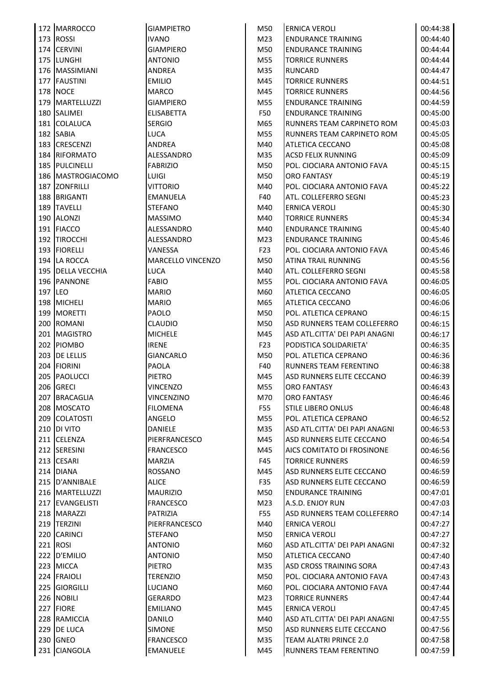| 172 IMARROCCO       | <b>GIAMPIETRO</b> | M50             | <b>ERNICA VEROLI</b>           | 00:44:38 |
|---------------------|-------------------|-----------------|--------------------------------|----------|
| 173 ROSSI           | <b>IVANO</b>      | M23             | <b>ENDURANCE TRAINING</b>      | 00:44:40 |
| 174 CERVINI         | <b>GIAMPIERO</b>  | M50             | <b>ENDURANCE TRAINING</b>      | 00:44:44 |
| 175 LUNGHI          | <b>ANTONIO</b>    | M55             | <b>TORRICE RUNNERS</b>         | 00:44:44 |
| 176 MASSIMIANI      | ANDREA            | M35             | <b>RUNCARD</b>                 | 00:44:47 |
| 177 FAUSTINI        | <b>EMILIO</b>     | M45             | <b>TORRICE RUNNERS</b>         | 00:44:51 |
| 178 NOCE            | <b>MARCO</b>      | M45             | <b>TORRICE RUNNERS</b>         | 00:44:56 |
| 179   MARTELLUZZI   | <b>GIAMPIERO</b>  | M55             | <b>ENDURANCE TRAINING</b>      | 00:44:59 |
| 180 SALIMEI         | <b>ELISABETTA</b> | F50             | <b>ENDURANCE TRAINING</b>      | 00:45:00 |
| 181 COLALUCA        | <b>SERGIO</b>     | M65             | RUNNERS TEAM CARPINETO ROM     | 00:45:03 |
| 182 SABIA           | <b>LUCA</b>       | M55             | RUNNERS TEAM CARPINETO ROM     | 00:45:05 |
| 183 CRESCENZI       | <b>ANDREA</b>     | M40             | ATLETICA CECCANO               | 00:45:08 |
| 184 RIFORMATO       | ALESSANDRO        | M35             | <b>ACSD FELIX RUNNING</b>      | 00:45:09 |
| 185 PULCINELLI      | <b>FABRIZIO</b>   | M50             | POL. CIOCIARA ANTONIO FAVA     | 00:45:15 |
| 186   MASTROGIACOMO | <b>LUIGI</b>      | M50             | <b>ORO FANTASY</b>             | 00:45:19 |
| 187 ZONFRILLI       | <b>VITTORIO</b>   | M40             | POL. CIOCIARA ANTONIO FAVA     | 00:45:22 |
| 188 BRIGANTI        | <b>EMANUELA</b>   | F40             | ATL. COLLEFERRO SEGNI          | 00:45:23 |
| 189 TAVELLI         | <b>STEFANO</b>    | M40             | <b>ERNICA VEROLI</b>           | 00:45:30 |
| 190 ALONZI          | <b>MASSIMO</b>    | M40             | <b>TORRICE RUNNERS</b>         | 00:45:34 |
| 191   FIACCO        | ALESSANDRO        | M40             | <b>ENDURANCE TRAINING</b>      | 00:45:40 |
| 192 TIROCCHI        | ALESSANDRO        | M23             | <b>ENDURANCE TRAINING</b>      | 00:45:46 |
| 193 FIORELLI        | VANESSA           | F <sub>23</sub> | POL. CIOCIARA ANTONIO FAVA     | 00:45:46 |
| 194 LA ROCCA        | MARCELLO VINCENZO | M50             | ATINA TRAIL RUNNING            | 00:45:56 |
| 195 DELLA VECCHIA   | <b>LUCA</b>       | M40             | ATL. COLLEFERRO SEGNI          | 00:45:58 |
| 196 PANNONE         | <b>FABIO</b>      | M55             | POL. CIOCIARA ANTONIO FAVA     | 00:46:05 |
| 197 LEO             | <b>MARIO</b>      | M60             | ATLETICA CECCANO               | 00:46:05 |
| 198 MICHELI         | <b>MARIO</b>      | M65             | ATLETICA CECCANO               |          |
| 199 MORETTI         |                   |                 |                                | 00:46:06 |
| 200 ROMANI          | PAOLO             | M50             | POL. ATLETICA CEPRANO          | 00:46:15 |
|                     | <b>CLAUDIO</b>    | M50             | ASD RUNNERS TEAM COLLEFERRO    | 00:46:15 |
| 201 MAGISTRO        | <b>MICHELE</b>    | M45             | ASD ATL.CITTA' DEI PAPI ANAGNI | 00:46:17 |
| 202 PIOMBO          | <b>IRENE</b>      | F <sub>23</sub> | PODISTICA SOLIDARIETA'         | 00:46:35 |
| 203 DE LELLIS       | <b>GIANCARLO</b>  | M50             | POL. ATLETICA CEPRANO          | 00:46:36 |
| 204 FIORINI         | <b>PAOLA</b>      | F40             | RUNNERS TEAM FERENTINO         | 00:46:38 |
| 205 PAOLUCCI        | <b>PIETRO</b>     | M45             | ASD RUNNERS ELITE CECCANO      | 00:46:39 |
| 206 GRECI           | <b>VINCENZO</b>   | M55             | <b>ORO FANTASY</b>             | 00:46:43 |
| 207 BRACAGLIA       | VINCENZINO        | M70             | ORO FANTASY                    | 00:46:46 |
| 208 MOSCATO         | <b>FILOMENA</b>   | <b>F55</b>      | <b>STILE LIBERO ONLUS</b>      | 00:46:48 |
| 209 COLATOSTI       | ANGELO            | M55             | POL. ATLETICA CEPRANO          | 00:46:52 |
| <b>210 DI VITO</b>  | DANIELE           | M35             | ASD ATL.CITTA' DEI PAPI ANAGNI | 00:46:53 |
| 211 CELENZA         | PIERFRANCESCO     | M45             | ASD RUNNERS ELITE CECCANO      | 00:46:54 |
| 212 SERESINI        | <b>FRANCESCO</b>  | M45             | AICS COMITATO DI FROSINONE     | 00:46:56 |
| 213 CESARI          | <b>MARZIA</b>     | F45             | <b>TORRICE RUNNERS</b>         | 00:46:59 |
| 214 DIANA           | <b>ROSSANO</b>    | M45             | ASD RUNNERS ELITE CECCANO      | 00:46:59 |
| 215 D'ANNIBALE      | <b>ALICE</b>      | F35             | ASD RUNNERS ELITE CECCANO      | 00:46:59 |
| 216   MARTELLUZZI   | <b>MAURIZIO</b>   | M50             | <b>ENDURANCE TRAINING</b>      | 00:47:01 |
| 217 EVANGELISTI     | <b>FRANCESCO</b>  | M23             | A.S.D. ENJOY RUN               | 00:47:03 |
| 218 MARAZZI         | PATRIZIA          | <b>F55</b>      | ASD RUNNERS TEAM COLLEFERRO    | 00:47:14 |
| 219   TERZINI       | PIERFRANCESCO     | M40             | <b>ERNICA VEROLI</b>           | 00:47:27 |
| 220 CARINCI         | <b>STEFANO</b>    | M50             | <b>ERNICA VEROLI</b>           | 00:47:27 |
| 221 ROSI            | <b>ANTONIO</b>    | M60             | ASD ATL.CITTA' DEI PAPI ANAGNI | 00:47:32 |
| 222 D'EMILIO        | <b>ANTONIO</b>    | M50             | ATLETICA CECCANO               | 00:47:40 |
| 223 MICCA           | PIETRO            | M35             | <b>ASD CROSS TRAINING SORA</b> | 00:47:43 |
| 224 FRAIOLI         | <b>TERENZIO</b>   | M50             | POL. CIOCIARA ANTONIO FAVA     | 00:47:43 |
| 225 GIORGILLI       | LUCIANO           | M60             | POL. CIOCIARA ANTONIO FAVA     | 00:47:44 |
| 226 NOBILI          | <b>GERARDO</b>    | M23             | <b>TORRICE RUNNERS</b>         | 00:47:44 |
| 227 FIORE           | <b>EMILIANO</b>   | M45             | <b>ERNICA VEROLI</b>           | 00:47:45 |
| 228 RAMICCIA        | <b>DANILO</b>     | M40             | ASD ATL.CITTA' DEI PAPI ANAGNI | 00:47:55 |
| 229 DE LUCA         | <b>SIMONE</b>     | M50             | ASD RUNNERS ELITE CECCANO      | 00:47:56 |
| 230 GNEO            | <b>FRANCESCO</b>  | M35             | TEAM ALATRI PRINCE 2.0         | 00:47:58 |
| 231 CIANGOLA        | EMANUELE          | M45             | RUNNERS TEAM FERENTINO         | 00:47:59 |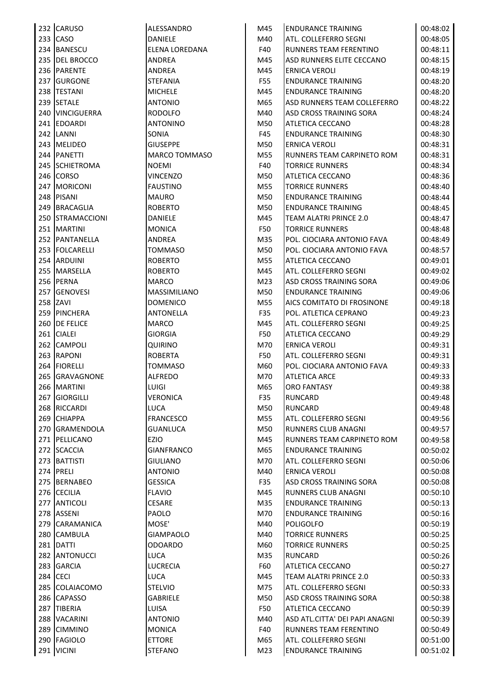| 232 CARUSO       | ALESSANDRO            | M45             | <b>ENDURANCE TRAINING</b>      | 00:48:02 |
|------------------|-----------------------|-----------------|--------------------------------|----------|
| 233 CASO         | DANIELE               | M40             | ATL. COLLEFERRO SEGNI          | 00:48:05 |
| 234 BANESCU      | <b>ELENA LOREDANA</b> | F40             | <b>RUNNERS TEAM FERENTINO</b>  | 00:48:11 |
| 235 DEL BROCCO   | ANDREA                | M45             | ASD RUNNERS ELITE CECCANO      | 00:48:15 |
| 236 PARENTE      | <b>ANDREA</b>         | M45             | ERNICA VEROLI                  | 00:48:19 |
| 237 GURGONE      | <b>STEFANIA</b>       | F55             | <b>ENDURANCE TRAINING</b>      | 00:48:20 |
| 238 TESTANI      | <b>MICHELE</b>        | M45             | <b>ENDURANCE TRAINING</b>      | 00:48:20 |
| 239 SETALE       | <b>ANTONIO</b>        | M65             | ASD RUNNERS TEAM COLLEFERRO    | 00:48:22 |
| 240 VINCIGUERRA  | <b>RODOLFO</b>        | M40             | <b>ASD CROSS TRAINING SORA</b> | 00:48:24 |
| 241 EDOARDI      | <b>ANTONINO</b>       | M50             | ATLETICA CECCANO               | 00:48:28 |
| 242 LANNI        | SONIA                 | F45             | <b>ENDURANCE TRAINING</b>      | 00:48:30 |
| 243 MELIDEO      | <b>GIUSEPPE</b>       | M50             | <b>ERNICA VEROLI</b>           | 00:48:31 |
| 244 PANETTI      |                       |                 |                                |          |
|                  | <b>MARCO TOMMASO</b>  | M55             | RUNNERS TEAM CARPINETO ROM     | 00:48:31 |
| 245 SCHIETROMA   | <b>NOEMI</b>          | F40             | <b>TORRICE RUNNERS</b>         | 00:48:34 |
| 246 CORSO        | <b>VINCENZO</b>       | M50             | ATLETICA CECCANO               | 00:48:36 |
| 247 MORICONI     | <b>FAUSTINO</b>       | M55             | <b>TORRICE RUNNERS</b>         | 00:48:40 |
| 248 PISANI       | <b>MAURO</b>          | M50             | <b>ENDURANCE TRAINING</b>      | 00:48:44 |
| 249 BRACAGLIA    | <b>ROBERTO</b>        | M50             | <b>ENDURANCE TRAINING</b>      | 00:48:45 |
| 250 STRAMACCIONI | DANIELE               | M45             | TEAM ALATRI PRINCE 2.0         | 00:48:47 |
| 251 MARTINI      | <b>MONICA</b>         | F50             | <b>TORRICE RUNNERS</b>         | 00:48:48 |
| 252 PANTANELLA   | <b>ANDREA</b>         | M35             | POL. CIOCIARA ANTONIO FAVA     | 00:48:49 |
| 253 FOLCARELLI   | TOMMASO               | M50             | POL. CIOCIARA ANTONIO FAVA     | 00:48:57 |
| 254 ARDUINI      | <b>ROBERTO</b>        | M55             | ATLETICA CECCANO               | 00:49:01 |
| 255 MARSELLA     | <b>ROBERTO</b>        | M45             | ATL. COLLEFERRO SEGNI          | 00:49:02 |
| 256 PERNA        | <b>MARCO</b>          | M <sub>23</sub> | <b>ASD CROSS TRAINING SORA</b> | 00:49:06 |
| 257 GENOVESI     | MASSIMILIANO          | M50             | <b>ENDURANCE TRAINING</b>      | 00:49:06 |
| 258 ZAVI         | <b>DOMENICO</b>       | M55             | AICS COMITATO DI FROSINONE     | 00:49:18 |
| 259 PINCHERA     | <b>ANTONELLA</b>      | F35             | POL. ATLETICA CEPRANO          | 00:49:23 |
| 260 DE FELICE    | <b>MARCO</b>          | M45             | ATL. COLLEFERRO SEGNI          | 00:49:25 |
| 261 CIALEI       | <b>GIORGIA</b>        | F50             | ATLETICA CECCANO               | 00:49:29 |
| 262 CAMPOLI      | QUIRINO               | M70             | ERNICA VEROLI                  | 00:49:31 |
| 263 RAPONI       | <b>ROBERTA</b>        | F50             | ATL. COLLEFERRO SEGNI          | 00:49:31 |
| 264 FIORELLI     | <b>TOMMASO</b>        | M60             | POL. CIOCIARA ANTONIO FAVA     | 00:49:33 |
| 265 GRAVAGNONE   | <b>ALFREDO</b>        | M70             | <b>ATLETICA ARCE</b>           | 00:49:33 |
| 266 MARTINI      | LUIGI                 | M65             | <b>ORO FANTASY</b>             | 00:49:38 |
| 267 GIORGILLI    | VERONICA              | F35             | <b>RUNCARD</b>                 | 00:49:48 |
| 268 RICCARDI     | LUCA                  | M50             | <b>RUNCARD</b>                 | 00:49:48 |
| 269 CHIAPPA      | <b>FRANCESCO</b>      | M55             | ATL. COLLEFERRO SEGNI          | 00:49:56 |
| 270 GRAMENDOLA   | <b>GUANLUCA</b>       | M50             | <b>RUNNERS CLUB ANAGNI</b>     | 00:49:57 |
| 271 PELLICANO    | EZIO                  | M45             | RUNNERS TEAM CARPINETO ROM     |          |
| 272 SCACCIA      | <b>GIANFRANCO</b>     |                 | <b>ENDURANCE TRAINING</b>      | 00:49:58 |
|                  |                       | M65             |                                | 00:50:02 |
| 273 BATTISTI     | <b>GIULIANO</b>       | M70             | ATL. COLLEFERRO SEGNI          | 00:50:06 |
| 274 PRELI        | <b>ANTONIO</b>        | M40             | ERNICA VEROLI                  | 00:50:08 |
| 275 BERNABEO     | <b>GESSICA</b>        | F35             | ASD CROSS TRAINING SORA        | 00:50:08 |
| 276 CECILIA      | <b>FLAVIO</b>         | M45             | <b>RUNNERS CLUB ANAGNI</b>     | 00:50:10 |
| 277 ANTICOLI     | <b>CESARE</b>         | M35             | <b>ENDURANCE TRAINING</b>      | 00:50:13 |
| 278 ASSENI       | PAOLO                 | M70             | <b>ENDURANCE TRAINING</b>      | 00:50:16 |
| 279 CARAMANICA   | MOSE'                 | M40             | <b>POLIGOLFO</b>               | 00:50:19 |
| 280 CAMBULA      | <b>GIAMPAOLO</b>      | M40             | <b>TORRICE RUNNERS</b>         | 00:50:25 |
| 281 DATTI        | <b>ODOARDO</b>        | M60             | <b>TORRICE RUNNERS</b>         | 00:50:25 |
| 282 ANTONUCCI    | LUCA                  | M35             | <b>RUNCARD</b>                 | 00:50:26 |
| 283 GARCIA       | LUCRECIA              | F60             | ATLETICA CECCANO               | 00:50:27 |
| 284 CECI         | LUCA                  | M45             | TEAM ALATRI PRINCE 2.0         | 00:50:33 |
| 285 COLAIACOMO   | <b>STELVIO</b>        | M75             | ATL. COLLEFERRO SEGNI          | 00:50:33 |
| 286 CAPASSO      | <b>GABRIELE</b>       | M50             | ASD CROSS TRAINING SORA        | 00:50:38 |
| 287 TIBERIA      | LUISA                 | F50             | ATLETICA CECCANO               | 00:50:39 |
| 288 VACARINI     | <b>ANTONIO</b>        | M40             | ASD ATL.CITTA' DEI PAPI ANAGNI | 00:50:39 |
| 289 CIMMINO      | <b>MONICA</b>         | F40             | RUNNERS TEAM FERENTINO         | 00:50:49 |
| 290 FAGIOLO      | <b>ETTORE</b>         | M65             | ATL. COLLEFERRO SEGNI          | 00:51:00 |
| 291 VICINI       | <b>STEFANO</b>        | M <sub>23</sub> | <b>ENDURANCE TRAINING</b>      | 00:51:02 |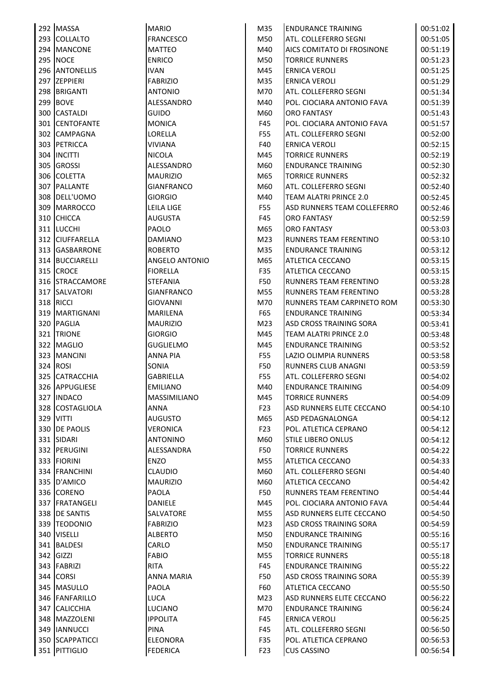|  | 292 MASSA        | <b>MARIO</b>              | M35             | <b>ENDURANCE TRAINING</b>                  | 00:51:02             |
|--|------------------|---------------------------|-----------------|--------------------------------------------|----------------------|
|  | 293 COLLALTO     | <b>FRANCESCO</b>          | M50             | ATL. COLLEFERRO SEGNI                      | 00:51:05             |
|  | 294 MANCONE      | <b>MATTEO</b>             | M40             | AICS COMITATO DI FROSINONE                 | 00:51:19             |
|  | <b>295 NOCE</b>  | <b>ENRICO</b>             | M50             | <b>TORRICE RUNNERS</b>                     | 00:51:23             |
|  | 296 ANTONELLIS   | <b>IVAN</b>               | M45             | <b>ERNICA VEROLI</b>                       | 00:51:25             |
|  | 297 ZEPPIERI     | <b>FABRIZIO</b>           | M35             | <b>ERNICA VEROLI</b>                       | 00:51:29             |
|  | 298 BRIGANTI     | <b>ANTONIO</b>            | M70             | ATL. COLLEFERRO SEGNI                      | 00:51:34             |
|  | 299 BOVE         | ALESSANDRO                | M40             | POL. CIOCIARA ANTONIO FAVA                 | 00:51:39             |
|  | 300 CASTALDI     | <b>GUIDO</b>              | M60             | <b>ORO FANTASY</b>                         | 00:51:43             |
|  | 301 CENTOFANTE   | <b>MONICA</b>             | F45             | POL. CIOCIARA ANTONIO FAVA                 | 00:51:57             |
|  | 302 CAMPAGNA     | LORELLA                   | F55             | ATL. COLLEFERRO SEGNI                      | 00:52:00             |
|  | 303 PETRICCA     | <b>VIVIANA</b>            | F40             | <b>ERNICA VEROLI</b>                       | 00:52:15             |
|  | 304  INCITTI     | <b>NICOLA</b>             | M45             | <b>TORRICE RUNNERS</b>                     | 00:52:19             |
|  | 305 GROSSI       | ALESSANDRO                | M60             | <b>ENDURANCE TRAINING</b>                  | 00:52:30             |
|  | 306 COLETTA      | <b>MAURIZIO</b>           | M65             | <b>TORRICE RUNNERS</b>                     | 00:52:32             |
|  | 307 PALLANTE     | <b>GIANFRANCO</b>         | M60             | ATL. COLLEFERRO SEGNI                      | 00:52:40             |
|  | 308 DELL'UOMO    | <b>GIORGIO</b>            | M40             | TEAM ALATRI PRINCE 2.0                     | 00:52:45             |
|  | 309 MARROCCO     | LEILA LIGE                | F55             | ASD RUNNERS TEAM COLLEFERRO                | 00:52:46             |
|  | 310 CHICCA       | <b>AUGUSTA</b>            | F45             | <b>ORO FANTASY</b>                         | 00:52:59             |
|  | 311 LUCCHI       | PAOLO                     | M65             | <b>ORO FANTASY</b>                         | 00:53:03             |
|  | 312 CIUFFARELLA  | <b>DAMIANO</b>            | M23             | RUNNERS TEAM FERENTINO                     | 00:53:10             |
|  | 313 GASBARRONE   | <b>ROBERTO</b>            | M35             | <b>ENDURANCE TRAINING</b>                  | 00:53:12             |
|  | 314 BUCCIARELLI  | ANGELO ANTONIO            | M65             | ATLETICA CECCANO                           | 00:53:15             |
|  | 315 CROCE        | <b>FIORELLA</b>           | F35             | ATLETICA CECCANO                           | 00:53:15             |
|  | 316 STRACCAMORE  | <b>STEFANIA</b>           | F50             | RUNNERS TEAM FERENTINO                     | 00:53:28             |
|  | 317 SALVATORI    | <b>GIANFRANCO</b>         | M55             | RUNNERS TEAM FERENTINO                     | 00:53:28             |
|  | 318 RICCI        | <b>GIOVANNI</b>           | M70             | RUNNERS TEAM CARPINETO ROM                 | 00:53:30             |
|  | 319   MARTIGNANI | <b>MARILENA</b>           | F65             | <b>ENDURANCE TRAINING</b>                  | 00:53:34             |
|  | 320 PAGLIA       | <b>MAURIZIO</b>           | M23             | ASD CROSS TRAINING SORA                    | 00:53:41             |
|  | 321 TRIONE       | <b>GIORGIO</b>            | M45             | TEAM ALATRI PRINCE 2.0                     | 00:53:48             |
|  | 322 MAGLIO       | GUGLIELMO                 | M45             | <b>ENDURANCE TRAINING</b>                  | 00:53:52             |
|  | 323 MANCINI      | <b>ANNA PIA</b>           | F55             | LAZIO OLIMPIA RUNNERS                      | 00:53:58             |
|  | 324 ROSI         | SONIA                     | F50             | <b>RUNNERS CLUB ANAGNI</b>                 | 00:53:59             |
|  | 325 CATRACCHIA   | <b>GABRIELLA</b>          | F55             | ATL. COLLEFERRO SEGNI                      | 00:54:02             |
|  | 326 APPUGLIESE   | <b>EMILIANO</b>           | M40             | <b>ENDURANCE TRAINING</b>                  | 00:54:09             |
|  | 327 INDACO       | <b>MASSIMILIANO</b>       | M45             | <b>TORRICE RUNNERS</b>                     |                      |
|  | 328 COSTAGLIOLA  | <b>ANNA</b>               | F <sub>23</sub> | ASD RUNNERS ELITE CECCANO                  | 00:54:09             |
|  | 329 VITTI        | <b>AUGUSTO</b>            | M65             | <b>ASD PEDAGNALONGA</b>                    | 00:54:10<br>00:54:12 |
|  | 330 DE PAOLIS    | <b>VERONICA</b>           | F <sub>23</sub> | POL. ATLETICA CEPRANO                      | 00:54:12             |
|  | 331 SIDARI       | <b>ANTONINO</b>           |                 | <b>STILE LIBERO ONLUS</b>                  |                      |
|  | 332 PERUGINI     |                           | M60<br>F50      |                                            | 00:54:12             |
|  | 333 FIORINI      | ALESSANDRA<br><b>ENZO</b> | M55             | <b>TORRICE RUNNERS</b><br>ATLETICA CECCANO | 00:54:22<br>00:54:33 |
|  |                  |                           |                 |                                            |                      |
|  | 334 FRANCHINI    | <b>CLAUDIO</b>            | M60             | ATL. COLLEFERRO SEGNI                      | 00:54:40             |
|  | 335 D'AMICO      | <b>MAURIZIO</b>           | M60             | <b>ATLETICA CECCANO</b>                    | 00:54:42             |
|  | 336 CORENO       | PAOLA                     | F50             | RUNNERS TEAM FERENTINO                     | 00:54:44             |
|  | 337 FRATANGELI   | <b>DANIELE</b>            | M45             | POL. CIOCIARA ANTONIO FAVA                 | 00:54:44             |
|  | 338 DE SANTIS    | SALVATORE                 | M55             | ASD RUNNERS ELITE CECCANO                  | 00:54:50             |
|  | 339 TEODONIO     | <b>FABRIZIO</b>           | M23             | ASD CROSS TRAINING SORA                    | 00:54:59             |
|  | 340 VISELLI      | <b>ALBERTO</b>            | M50             | <b>ENDURANCE TRAINING</b>                  | 00:55:16             |
|  | 341 BALDESI      | CARLO                     | M50             | <b>ENDURANCE TRAINING</b>                  | 00:55:17             |
|  | 342 GIZZI        | <b>FABIO</b>              | M55             | <b>TORRICE RUNNERS</b>                     | 00:55:18             |
|  | 343 FABRIZI      | <b>RITA</b>               | F45             | <b>ENDURANCE TRAINING</b>                  | 00:55:22             |
|  | 344 CORSI        | <b>ANNA MARIA</b>         | F50             | ASD CROSS TRAINING SORA                    | 00:55:39             |
|  | 345 MASULLO      | PAOLA                     | F60             | ATLETICA CECCANO                           | 00:55:50             |
|  | 346 FANFARILLO   | LUCA                      | M23             | ASD RUNNERS ELITE CECCANO                  | 00:56:22             |
|  | 347 CALICCHIA    | LUCIANO                   | M70             | <b>ENDURANCE TRAINING</b>                  | 00:56:24             |
|  | 348 MAZZOLENI    | <b>IPPOLITA</b>           | F45             | <b>ERNICA VEROLI</b>                       | 00:56:25             |
|  | 349   IANNUCCI   | PINA                      | F45             | ATL. COLLEFERRO SEGNI                      | 00:56:50             |
|  | 350 SCAPPATICCI  | <b>ELEONORA</b>           | F35             | POL. ATLETICA CEPRANO                      | 00:56:53             |
|  | 351 PITTIGLIO    | <b>FEDERICA</b>           | F <sub>23</sub> | <b>CUS CASSINO</b>                         | 00:56:54             |